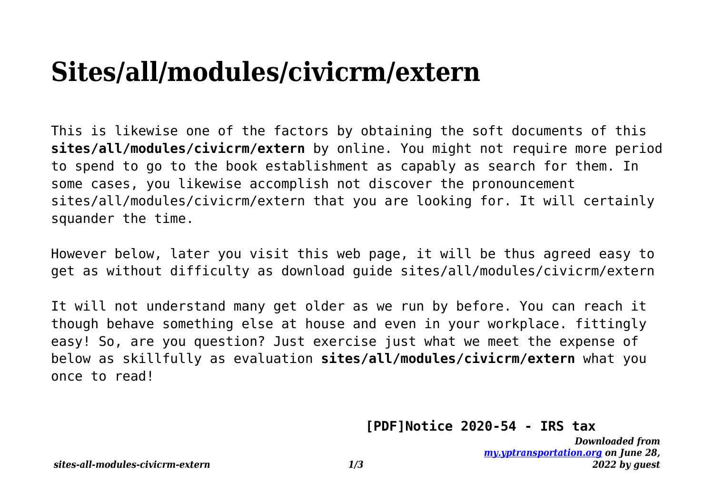## **Sites/all/modules/civicrm/extern**

This is likewise one of the factors by obtaining the soft documents of this **sites/all/modules/civicrm/extern** by online. You might not require more period to spend to go to the book establishment as capably as search for them. In some cases, you likewise accomplish not discover the pronouncement sites/all/modules/civicrm/extern that you are looking for. It will certainly squander the time.

However below, later you visit this web page, it will be thus agreed easy to get as without difficulty as download guide sites/all/modules/civicrm/extern

It will not understand many get older as we run by before. You can reach it though behave something else at house and even in your workplace. fittingly easy! So, are you question? Just exercise just what we meet the expense of below as skillfully as evaluation **sites/all/modules/civicrm/extern** what you once to read!

## **[PDF]Notice 2020-54 - IRS tax**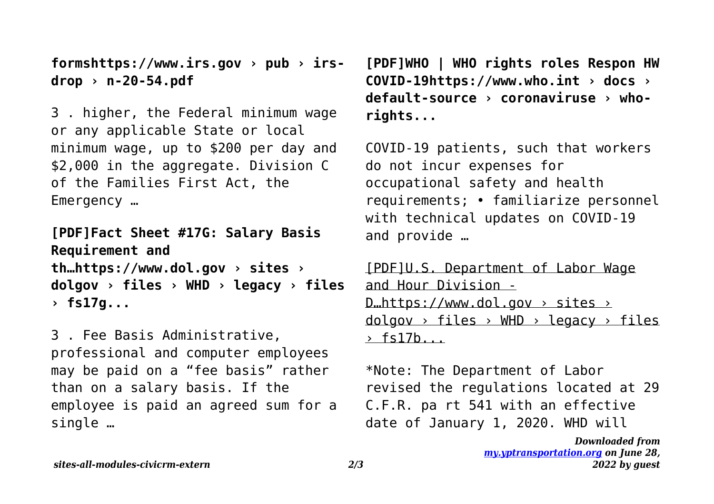**formshttps://www.irs.gov › pub › irsdrop › n-20-54.pdf**

3 . higher, the Federal minimum wage or any applicable State or local minimum wage, up to \$200 per day and \$2,000 in the aggregate. Division C of the Families First Act, the Emergency …

**[PDF]Fact Sheet #17G: Salary Basis Requirement and th…https://www.dol.gov › sites › dolgov › files › WHD › legacy › files › fs17g...**

3 . Fee Basis Administrative, professional and computer employees may be paid on a "fee basis" rather than on a salary basis. If the employee is paid an agreed sum for a single …

**[PDF]WHO | WHO rights roles Respon HW COVID-19https://www.who.int › docs › default-source › coronaviruse › whorights...**

COVID-19 patients, such that workers do not incur expenses for occupational safety and health requirements; • familiarize personnel with technical updates on COVID-19 and provide …

[PDF]U.S. Department of Labor Wage and Hour Division -  $D<sub>un</sub>$ https://www.dol.gov > sites >  $d$ olgov > files > WHD > legacy > files  $\rightarrow$  fs17b...

\*Note: The Department of Labor revised the regulations located at 29 C.F.R. pa rt 541 with an effective date of January 1, 2020. WHD will